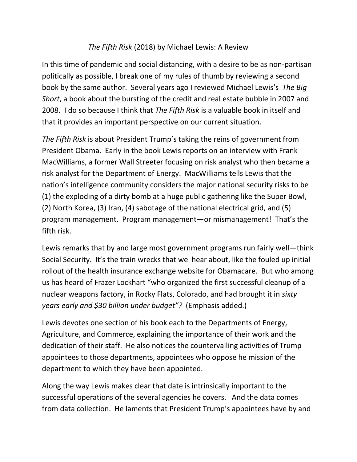## *The Fifth Risk* (2018) by Michael Lewis: A Review

In this time of pandemic and social distancing, with a desire to be as non-partisan politically as possible, I break one of my rules of thumb by reviewing a second book by the same author. Several years ago I reviewed Michael Lewis's *The Big Short*, a book about the bursting of the credit and real estate bubble in 2007 and 2008. I do so because I think that *The Fifth Risk* is a valuable book in itself and that it provides an important perspective on our current situation.

*The Fifth Risk* is about President Trump's taking the reins of government from President Obama. Early in the book Lewis reports on an interview with Frank MacWilliams, a former Wall Streeter focusing on risk analyst who then became a risk analyst for the Department of Energy. MacWilliams tells Lewis that the nation's intelligence community considers the major national security risks to be (1) the exploding of a dirty bomb at a huge public gathering like the Super Bowl, (2) North Korea, (3) Iran, (4) sabotage of the national electrical grid, and (5) program management. Program management—or mismanagement! That's the fifth risk.

Lewis remarks that by and large most government programs run fairly well—think Social Security. It's the train wrecks that we hear about, like the fouled up initial rollout of the health insurance exchange website for Obamacare. But who among us has heard of Frazer Lockhart "who organized the first successful cleanup of a nuclear weapons factory, in Rocky Flats, Colorado, and had brought it in *sixty years early and \$30 billion under budget"?* (Emphasis added.)

Lewis devotes one section of his book each to the Departments of Energy, Agriculture, and Commerce, explaining the importance of their work and the dedication of their staff. He also notices the countervailing activities of Trump appointees to those departments, appointees who oppose he mission of the department to which they have been appointed.

Along the way Lewis makes clear that date is intrinsically important to the successful operations of the several agencies he covers. And the data comes from data collection. He laments that President Trump's appointees have by and